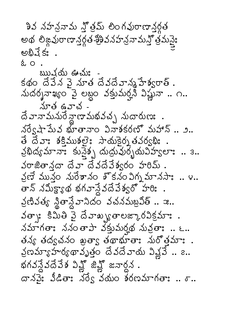శివ నహన్రామ న్లోత్మ్ లింగవురాణానర్గత అథ లిజ్గవురాణాన్తర్గత-శ్రీశివనహన్రనామన్తో త్రమస్తై: అభివేక: .  $202$ ఋషను ఊచుః కథం దేవేన వై నూత దేవదేవాన్మహేశ్వరాత్ . నుదర్శనాఖ్యం వై లబ్దం వక్తుమర్తని విష్ణునా .. ౧..  $\Delta$   $\sim$   $\Delta$   $\sim$   $\sim$  $\vec{a}$  వానామనురే న్లాణామభవచ్చ నుదారుణః. నర్వషా పేువ భూతానాం వినాశకరణో మహాన్ .. ౨.. తే దేవాః శక్తిముశలైః సాయకైర్నతవర్వభిః వ్రభిద్యమానాః కునైశ్చ దుద్రువుర్భయవిహ్వలాః .. ఇ..  $\Delta$ రాజితాన్ల దేవా దేవదేవేశ్వరం హరిమ్. వ్రణే మున్నం నురేశానం శోకనం విగ్న మానసాః .. ౪.. తాన్ నమీక్ష్యాథ భగవాన్దేవేశ్వరో హరి: వ్రణివత్య న్లితాన్లేవానిదం వచనమబ్రవీత్ .. ఇ.. der: కిమితి వైదేవాఖ్యతాలజ్కారవిక్రమా:. నమాగతాఃననంతాపాని క్రస్తుమర్హథ నువ్రతాః.. ౬.. తన్య తద్వచనం ఖత్వా తథాభూతాః నురోత్తమాః . వ్రణమ్యాహర్యథావృత్తం దేవదేవాయ వివ్లవే.. 2.. భగవన్దేవవేశ విష్ణో జిన్లో జనార్ధన. దానపై: వీడితా: నర్వే వయం శరణమాగతా: ..  $\sigma$ ..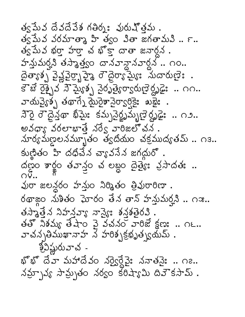త్వ పేవ దేవదేవేశ గతిర్మః వురుష్త్రమ . త్వ పేువ వరమాత్మా హి త్వం వితా జగతామవి .. ౯.. త్వపేువ భర్తా హర్తా చ భోక్తా దాతా జనార్దన . హన్డుమరని తస్మాత్త్యం దానవాన్గానవార్దన .. ౧౦.. దైత్యాక్స్త పైక్షనైర్భాహ్రా ప్రాంత్యా మొద్దారుణ్ . కౌబే రైక్సైవ సౌమ్యేశ్స్త్ర సైరృత్యేరా్యభల్లో ప్రైవేంది. దాం.. సౌరై రౌదైన్తథా ఖిమై: కమ్పవైర్థృమ్బణైర్థృడై: .. ౧౨.. అవధా, వరలాభాతే నరే5 వారిజలో చన. మార్యమణ్ణలనమ్మూతం త్వదియం చక్రముద్యతమ్ .. ౧౩.. కుణ్ణితం హి దధిచేన చ్యావనేన జగయ్ల . ထိတ္မွ်ဝ အစ္ရွဴဝ မသည္ဝ ဆံ ဗబ္လဝ ထြမ္းႏႈန္း သံသထမ်း ..  $\bigcirc$  ... వురా జలన్దరం హన్తుం నిర్మితం త్రివురారిణా . రథాఙ్ద నుశితం ఘోరం తేన తాన్ హన్తుమర్తని .. ౧ఇ.. తస్మాత్తేన నిహన్ల్యూ వ్యా కన్నత్తెరవి. తతో నిశమ్య తేషాం వై వచనం వారిజే క్షణ: .. ౧౬.. వాచన్పతిముఖానాహ న హరిశ్చక్రభృత్స్థయమ్ . శ్రీవిష్ణురువాచ -భొభొ దేవా మహాదేవం నర్వైర్దేవైః ననాతనైః .. ౧౭.. నమ్చాన్య సామ్సతం నర్వం కరిష్యామి దివౌకసామ్.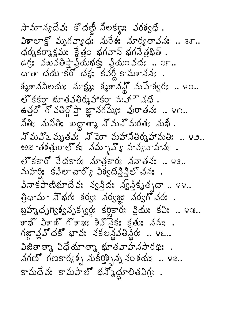సామాన్యదేవః కొదణీ నిలకణ్ణు వరశ్వధి. విశాలాక్ట్లో మృగవ్యాధ: నురేశ: నూర్యతావన: .. 30..  $\phi$ ర్మకర్మాక్షమః క్షేత్రం భగవాన్ భగనేత్రభిత్ . ఉగ్ర: వఖవేతిస్తా ప్రేయభక్తు: ప్రియం వదు: .. ఇ౯.. దాతా దయాకరో దక్షః కవర్త కామశానని: . శ్మశాననిలయః నూక్ష్మణి: శ్మశానన్లో మహేశ్వరః .. ౪ం.. లో కకర్తా భూతవతిర్మహాకర్తా మహా చధి. ఉత్తరో గొవతిర్గోప్తా జ్ఞానగమ్యః వురాతనః .. ౪౧.. నోతిః నునోతిః ఖద్దాతాశ్ న్నున్నురతః నుఖో.. నొమన్ౖ మృతవః నొమో మహానితిర్మహామతిః .. ౪౨.. అజాతశత్రురాలోక: నమ్బాహ్, హవ్యవాహన: . లో కకారో వేదకార: నూత్రకార: ననాతన: .. ౪౩.. మహర్తి: కవిలాచార్యో విశ్వదీవ్తిన్లో చన: . వినాకపాణిభూదేవః న్వస్తిదః న్వస్తికృత్పదా .. ౪౪.. త్రిధామా సౌభగః శర్యః నర్వజ్ఞః నర్వగోచరః . బ్రహ్మధృగ్యిక్వసృక్సర్లో కర్ణికార్య ప్రియ కవి: .. ఆజ.. కాఖ్ వికాఖ్ గోకాఖః కిఎ్నెకః కతుః నమః . గజ్జావ్లో దకో భావః నకలన్థవతిన్థీరః .. ౪౬.. విజితాత్మా విధేయాత్మా భూతవాహనసారథిః . నగణో గణకార్యక్న నుకీరిక్నిన్న నంకయ .. v2.. కామదేవః కామపాలో భన్మోదూలితవిగ్రః .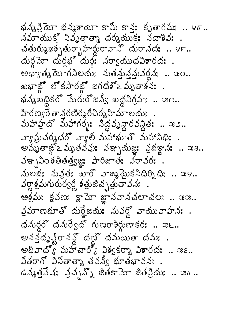భన్న క్రియో భన్మశాయీ కామీ కాన్త: కృతాగమః .. ౪్.. నమాయుక్తో నివృత్తాతా ధర్మయుక్తు నదాశివు . สัชงางมุมจังอยู่มันสูงอาจาง สิงอางสะ.. က်တို့သော ကိုပွဲများကိုလွှင့် သတ္တလောက်သောလေး. అధ్యాత్మ యోగనిలయః నుతనున్నువర్ధనః .. ఇం.. ఖభాజ్లోకసారజ్జగదిశ్≥మృతాశనః. ห่งอุ่มครับ มีบับอาลาร์ มสูงกัร .. ลก.. హిరణ్యరే తాన్దరణిర్మరీచిర్మహిమాలయః మహాహ్రో మహాగర్భః నిద్ధవృన్ధారవన్ధితః .. ఇ౨.. వ్యాఘచర్యధర్ వ్యాల్ మహాభూత్ మహానిధి: . అమృతాజ్లో మృతవవుః వఞ్ఛమజ్ఞః వ్రభఞ్ఞనః .. ఇ౩.. వఞ్పవంశతితత్త్వజ్ఞు పారిజాతః వరావరః. మలభః నువ్రతః ఖారో వాఙ్మమైకనిధిర్నిధిః .. ఇ౪.. వర్ణాశ్రమగురుర్వర్ణీ శత్రుజిచ్చత్రుతావనః ఆశ్రమః క్షవణః క్షామో జ్ఞానవానచలాచలః .. ఇఇ.. వ్రమాణభూతో దుర్హేజయః నువర్లో వాయువాహనః .  $\phi$ నుర్ధరో ధనుర్వేదో గుణరాశిర్ధుణాకర: .. ఇ౬.. అనన్తృష్టిరానన్లో దబ్లో దమయితా దమః . అభివాదో, మహాచారో, విశ్వకర్మా విశారద: .. ఇ౭.. వితరాగో వినితాత్మా తవన్వీ భూతభావనః . ఉన్నత్తవేషం వ్రచ్ఛన్నో జితకామో జితవ్రియం .. ఇం..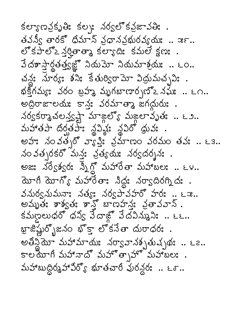కల్యాణవ్రసితి: కల్ప, నర్వలో కవ్రజావతి: . తవన్వీ తారకో ధిమాన్ వ్రధానవ్రభురవ్యయః .. ఇ౯.. లో కపాలోఽ న్యతాత్మా కల్యాదిః కమలే క్షణః . వేదశాస్త్రార్థతత్త్యజ్ఞో నియమో నియమాశ్రమః .. ౬ం.. చన్ల: నూర్య: శని: కేతుర్విరామో విద్రుమచ్చవి: . భక్తిగమ్యః వరం బ్రహ్మ మృగబాణార్చబో≥నమః .. ౬౧.. மற்சு ஜைக் ஜைக் கார் கால் கால் .  $\lambda$ ర్వకర్మాచలన్తష్టే మాజ్గల్యో మజ్గలా వృత: .. ٤೨.. మహాతపా దిర్వతపా: నైవిష్ట: నైవిరో థ్రువ: . అహ: నంవత్సరో వ్యాప్తి: వ్రమాణం వరమం తవ: .. ఒక.. నం వత్సరకరో మన్తః వ్రత్యయః నర్వదర్శనః. అజ: నర్వేశ్వర: స్త్రీగ్లో మహారేతా మహాబల: .. ౬౪.. యోగీ యోగ్యో మహారేతాః సిద్ధః నర్వాదిరగ్నిదః . వనుర్వనుమనాః నత్యః నర్వహ్వహరో హరః .. ౬ఇ..<br>అమృతః శాశ్వతః శాన్త్లో బాణహన్ణ: వ్రతావవాన్ . కమణలుధరో ధన్య వేదాజ్ల వేదవిన్నుని: .. ౬౬.. ఖ్జిష్ణుర్బోజనం భొక్తా లొకనేతా దురాధరః . అతిన్దైమా మహామాయిః నర్వాహనశృతుచృథః .. ౬౭..<br>కాలయాగి మహానాదొ మహొత్సహో మహాబలః . మహాబుద్ధిర్మహావిర్యో భూతచారీ వురన్ధర: .. ౬ర..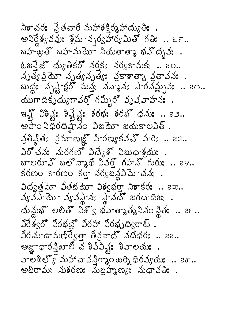నిశాచర: ప్రతచారీ మహాశక్రింపాద్యుతి: . అనిర్దేశ్యవవుః శ్రీమాన్చర్యహార్యమితో గతిః .. ౬౯.. బహతుతో బహచుయా నియతాత్మా భవోదృవః . ఓజనేజో ద్యుతికరో నరకి నర్వకామకి .. ఇం.. నృత్య క్రియో నృత్య వ్రేణ వ్రకాణా వ్రతావన: .<br>బుద్ధ: నృష్టాక్షరో మన్త: నన్మాన: సారనమ్స్తున: .. ౭౧.. యుగాదికృద్యుగావర్తో గమ్బీరో వృషవాహనః . ఇన్లో విశిష్ట: శివ్షేష్ట: శరభ: శరభో ధను: .. ౭౨..  $e\bar{d}$ 0  $\lambda\bar{\theta}$ 0  $\theta\bar{\lambda}$   $\lambda$ 0  $\lambda$   $\alpha$   $\bar{\alpha}$   $\alpha$   $\alpha$   $\alpha$   $\alpha$   $\beta$   $\delta$  . వ్రత్మిత: వ్రమాణజ్లో హిరణ్యకవచ్ హరి: .. 23.. విరోచన: నురగణో విద్యేతో విబుధాశ్రమ: . బాలరూవ్ బల్నానథ వివర్త గహన్ గురు: .. 24.. కరణం కారణం కర్తా నర్వబన్దవిమోచనః. నిద్యత్రమో వితభయో విశ్వభర్తా నిశాకర: .. 22.. వ్యవసాయో వ్యవస్థాన: స్థానదో జగదాదిజ: .  $\Delta x$ సుభోలలితో విశ్వ భవాతాశ్రత సినం నీత: .. ౭౬.. విరేశ్వరో విరభద్లో విరహా విరభృద్విరాట్. వీరచూడామణిర్వేత్తా తీవ్రనాదో నదీధరః .. ౭౭.. ఆజ్ఞాధారన్తిబాలి చ శివివిష్ట: శివాలయః.  $\sigma$ లేఖిల్యో మహాచావన్తిగ్మాం ఖర్ని ధిరవ్యటి .. 2 $\sigma$ .. అభిరామః నుశరణః నుబ్రహ్మణ్యః నుధావతిః .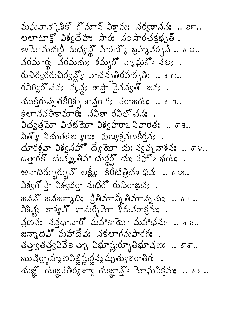మఘవాన్కెశికో గోమాన్ విశ్రామః నర్వశాననః .. ౭౯.. లలాటాక్లో విశ్వదేహః సారః నం సారచక్రభృత్. అమోఘదట్టి మధ్యన్లో హీరణ్యో బ్రహ్మవర్చనీ .. శాం.. వరమార్త: వరమయః శమృరో వ్యాఘకో≥ నలః . రుచిర్వరరుచిర్వన్లో వాచన్నతిరహర్నతి: ..  $\sigma$ ౧.. రవిర్విరోచనః స్క్లు కాస్తా వైవన్వతో జనః . యుక్తిరున్న తకీరిత్స తాన్తరాగ: వరాజయ: .. 59.. కెలానవతికామారిః నవితా రవిలొచనః . విద్యత్రమో వితభయో విశ్వహరా నివారిత: .. రె 3.. నిత్యో నియతకల్యాణః వుణ్యక్రమణిర్వడి . యారశ్రవా విశ్వనహొ ధ్యే యో స్వన్న వాశన: .. రా .. ఉత్తారకో దుష్కపితిహా దుర్ధర్షో దుః నహోఽ భయః . అనాదిర్భూర్భున్ లక్ష్మీ: కిరీటిత్రిదశాధివ: .. శాజ.. విశ్వగొప్తా విశ్వభర్తా నుధిరో రుచిరాజ్లద:. జననో జనజన్మాది: న్రీతిమాన్న తిమాన్న యః .. ర్.. విశివ్షః కాశ్య హి మార్బీమో భీమవరాక్రమః . నణవ: ననదాచారో మహాకాయో మహాధను: .. రె .. జన్మాధివో మహాదేవ: నకలాగమపారగ: తత్త్వతత్త్వవివేకాత్మా విభూష్ణుర్భూతిభూషణ: .. రాం.. ఋషిర్భాహ్మణవిజ్ఞిష్ణుర్జన్మమృత్యజరాతిగః. యజ్ఞో యజ్ఞవతిర్యజ్వా యజ్ఞాన్తో2 మోఘవిక్రమః..  $\sigma$ F..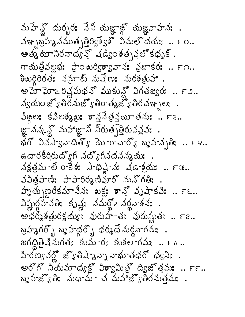మహేన్లో దుర్భర: సేని యజ్ఞాజ్లో యజ్ఞవాహన: . వఞ్భబ్రహానముత్భత్తిర్దేశ్వశ్ విమల్లోదయః.. ౯ం.. ఆత్మ యోనిరనాద్వ్తో షడిsం శతృవ్తో కధృక్ . గాయత్రివల్లభ: ప్రాం ఖర్విశ్వావాన: వ్రభాకర: .. ౯౧.. కిఖర్గిరిరతః నమ్రాట్ నుషేణః నురకత్రుహా. అమాఘాఽరిశ్షమథన్ ముకున్లో విగతజ్వరః .. ౯౨..  $\lambda$ ွက်ပဲတော် အသိုက်သွေးမှုတွေ့အောင်းမှုတွေနောက် များ  $3$  a es s30220: 33536500 350; .. F3.. జ్ఞానన్క్లో మహాజ్ఞాని నిరుత్పత్తిరువవ్వు: ส์ก็  $25 - 55$ รับอังก์ สังการกัญ พรับอุโนะ .. Fy.. ఉదారకీర్తిరుద్యోగీ నద్యోగినదనన్మయః నక్షత్తమాలి రాకేశ: సాధిష్ణాన: చడాశ్రమ: .. గాజ.. వవిత్రపాణి: పాపారిర్మణివూరో మనోగతి: . హృత్సుణరీకమానీన: ఖక్ల: శాన్త్ వృషాకవి: .. FE.. విష్ణుర్ధహ్వతిః కృష్ణః నమర్ధ్ౖ నర్ధనాశనః. అధరృశతురక్షయ్య: పురుహాత: పురుష్టత: .. ౯౭.. బ్రహ్మగర్బో బృహద్భ ధర్మధే నుర్ధనాగమః. జగద్దితైనినుగత: కుమార: కుశలాగమ: .. ౯ఠ.. హరణ్యవర్లో జ్యోతిషాశైన్నా నాభూతధరో ధ్వసి: . అరోగో నియమాధ్యక్ట విశ్వమిత్త ద్వజోత్తమః.. ౯౯.. బృహజ్యోతిః నుధామా చ మహాజ్యోతిరనుత్తమః .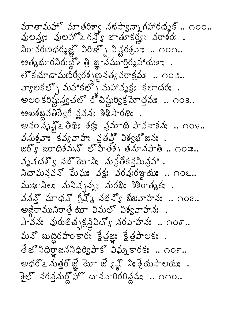మాతామహో మాతరిశ్వా నభస్వాన్నాగహారధృక్.. ౧౦౦.. వులన్య: వులహొఽగన్తో జాతూకర్ణు: వరాశర: . నిరావరణధర్మజ్ఞో విరిఞ్భో విష్టరక్షవాః .. ౧౦౧.. ఆత్మభూరనిరుద్దోఽ త్రి జ్ఞానమూర్తిర్మహాయశాః . లోకచూడామణిర్వీరశ్చణ్ణ వత్య వరాక్రమః.. ౧౦౨.. వ్యాలకల్ని మహాకల్నో మహావృక్షః కలాధరః. అలం కరిష్టున్త్వచలో రోచిష్టుర్విక్రమోత్తమః .. ౧౦౩.. ఆబుశబ్దవతిర్వేగి వ్లవన: శిఖిసారథి: . అనం సృహ్లి తిథిః శక్రః వ్రమాథి పావనాశనః .. ౧౦౪.. వనుశ్రవాః కవ్యవాహః వ్రతమ్తో విశ్వభ్జనః . జర్య్ జరాధికమన్ లోహతేకృ తమానపాత్ .. ౧౦ఇ.. వృషదశ్వ నభ్యాని: నువ్రతకనమిన్లు . నిదాఘన్తవన్ మేఘః వక్షః వరవురఞ్ఞయః .. ౧౦౬.. ముఖానిలః నునిచ్చనుౖః నురభిః శిశిరాత్మకః . వనన్ల మాధవ్ గ్రేష్ నభన్య్ బీజవాహనః .. ౧౦౭.. అజ్డిరామునిరాత్రే యో విమలో విశ్వవాహనః . పావనః వురుజిచ్చక్రస్తివిద్యో నరవాహనః .. ౧౦రా.. మనో బుద్ధిరహంకారం క్షేత్రజ్ఞు క్షేత్రపాలకు. అధరో2 నుత్తరోజ్ఞే మో జే ్క్స్ ని: శ్రేయసాలయ:. 2లో నగన్నుల్లో దానవారిరరిన్లకు: .. ౧౧౦..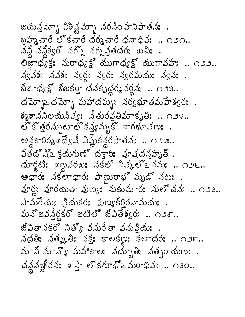జయన్ల మ్మో విశిష్ట మ్మో నరనిం హనిపాతనః.. బ్రహ్మచారీ లొకచారీ ధర్మచారీ ధనాధివ: .. ౧౨౧.. నన్ల నన్లిక్వరో నగ్నో నగ్నవ్రతధరః ఖచిః . లిజ్ఞాధ్యక్షః మరాధ్యక్ష్ యుగాధ్యక్ష్ యుగావహః .. ౧౨౨.. న్వవశః నవశః న్వర్గః న్వరః న్వరమయః న్వనః . బీజాధ్యక్ష్ బీజకర్తా ధనకృద్ధర్మవర్ధనః .. ౧౨౩..  $\Delta$ మ్బా దమ్బో మహాదమ్మ: నర్వభూతమహేశ్వర:. శ్మశాననిలయనిష్య: నేతురవ్రతిమాకృతి: .. ౧౨౪.. లోకోత్తన్నుటాలోకన్యమృకో నాగభూచణః . అన్ధకారిర్మఖద్వేషీ విష్ణుకన్ధరపాతన: .. ౧౨ఇ.. వితదొచ్చి క్లయగుణ్ దక్టారి: వూషదన్నృత్.  $\Delta x$ ర్ణటి: ఖణవరఖ: నకలో నిష్కల్ నఘ: .. ౧౨౬.. ఆధారః నకలాధారః పాణ్ణురాభొ మృడొ నటః . వూర్ణ: వూరయితా వుణ్య: నుకుమార: నులొచన: .. ౧౨౭..  $\rightarrow$ చుగేయ: వ్రియకర: పుణ్యకీర్తిరనామయ: . మనోజవన్తీర్ణకరో జటిలో జీవితేశ్వరః .. ౧౨ర.. జీవితానకరో నిత్య వనురేతా వనున్రియః .  $\Delta \phi$  )  $\Delta \phi$  )  $\Delta \phi$  )  $\Delta \phi$  subgiles subgiles .. మాని మాన్యో మహాకాల: నద్భూతి: నత్సరాయణ: . చన్నజీనన: శాస్త్రా కగూఢ్లో మరాధిన: .. ౧౩౦..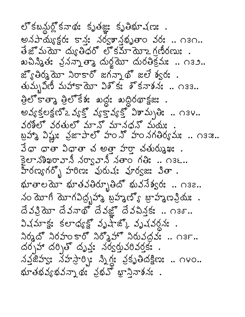లో కబన్లుల్లో కనాథః కృతజ్ఞః కృతిభూషణః . అనపాయ్యక్షర: కాన: నర్వశానభృతాం వర: .. ౧౩౧..  $\tilde{a}$ జోమమో ద్యుతిధరో లోకమామోఽగ్రణీరణుః. ఖచిస్మితః వ్రసన్నాత్మా దుర్జమో దురతిక్రమః .. ౧౩౨.. జ్యోతిర్మెయా నిరాకార్ జగన్నాథ్ జలే శ్వర: . తుమృవీణీ మహాకాయో విశోకః శోకనాశనః .. ౧౩౩.. త్ర్వత్తి త్ర్యాక్షిక: ఖద్ద: ఖద్దరథాక్షజ: . అవ్యక్తప్రైవ్వో వ్రైవ్వో విశామ్సతి .. ౧౩౪.. వరశీలో వరతులో మానో మానధనో మయః బ్రహా విష్ణు: నైజాపాలో హం నో హం నగతిర్యమః.. ౧౩ఇ.. వేధా ధాతా విధాతా చ అత్తా హర్తా చతుర్ముఖః. కైలానశిఖరావానీ నర్వావానీ నతాం గతి: .. ౧౩౬.. హీరణ్యగర్బో హరిణ: వురుష: వూర్వజ: వితా. భూతాలమో భూతవతిర్భూతిదో భువనేశ్వరః .. ౧౩౭.. నం యోగీ యోగవిద్భహాశ్ బ్రహ్మణ్యో బ్రాహ్మణక్రియ . దేవక్రియో దేవనాథో దేవజ్ఞో దేవచిన్తకి .. ౧౩రా.. విషమాక్షః కలాధ్యక్షో వృష్ణ్కో వృష్ణవర్ధనః. నిర్మదొనిరహంకారో నిర్మిహొనిరువద్దవు .. ౧౩౯.. దర్చహా దర్చితో దృవ్తః నర్వర్తువరివర్తకః . สังสังสะ สังควาย มิโล สังคมสร้อง .. 080.. ห้งขันวังสังวาง สะ จัสมัย มาจิจารัง .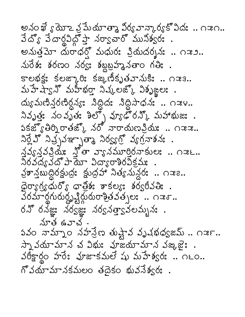అనంఖే ్వరాజ వ్రమేయాత్మా విర్యవాన్కార్యకోవిదః .. ౧౫౧.. వేద్యో వేదార్దినిద్దా నర్వాచార్ మునిశ్వర: . అనుత్తమో దురాధర్తో మధురః ప్రియదర్శనః .. ౧ఇ౨.. నురేశ: శరణం నర్వ: శబ్దబ్రహానతాం గతి: . కాలభక్ష: కలజ్మారి: కజ్రహీకృతవానుకి: .. ౧ఇ౩.. మహేష్విన్ మహీఖర్తా నిష్కలజ్కో విశృజ్ఘలః .  $\Delta s$ သီး အားလေးတွေး အောက်ဆေး အတော်ဆောင်း တအမွယ်  $\lambda$ వృత్త: సంవృత: శిల్ప వ్యడోరన్కి మహాభుజ:.  $s$ కజ్వతిర్పాతజ్క నర్ నారాయణన్తు .. ౧  $x.$  $\lambda$ ర్లే వో నిచ్చవఞ్చాత్మా నిర్వ్యర్ వ్యగ్రవాశన:. నవ్వనవర్తమి: గ్లోతా వ్యానమూరిరనాకుల: .. ౧ఇ౬..<br>నిరవద్యవదో పాయో విద్యారాశిరవేక్రమి: . వ్రకాన్తబుద్ధిరక్షుద్ర: క్షుద్రహా నిత్యనున్దర: .. ౧౫౭.. ထြတ္စက္လွဴ ထံတိံဳ ့ ထုမ္မိခံး ခုလံေႏွး ခံဝင္သဝိသမ်း . 30మార్థగురుర్ధృశ్హిద్ధురురాశ్రీతవత్సల: .. ౧ఇఠ.. రన్ రనజ్ఞు నర్వజ్ఞు నర్వనత్తా వలమృనః . మాత ఉవాచ -కవం నామ్నాం నహన్రేణ తుష్టావ వృషభధ్యజమ్ .. ౧౫౯.. స్నా వయామాన చ విభు: వూజయామాన వఙ్కజి: . వరీక్టార్థం హరే: వూజాకమలే షు మహేశ్వర: .. ౧౬౦.. గొ వయామానకమలం తదైకం భువనేశ్వరః .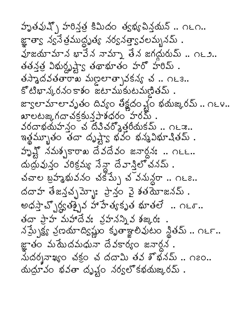హృతవుష్పో హరిస్త్ర కిమిదం త్యభ్యపిన్తమన్ .. ౧౬౧.. జ్ఞాత్వా న్యనేత్రముద్ధృత్య నర్వనత్త్వావలమ్భనమ్ . వూజయామాన భావేన నామ్నా తేన జగద్దురుమ్ .. ౧౬౨.. తతన్త్ర విభుర్ధృష్ట్వా తథాభూతం హరో హరిమ్ . తస్మాదవతతారాఖ మణ్రలాత్సావకన్య చ .. ౧౬౩.. కోటిభాన్కరనంకాశం జటాముకుటమణితమ్. జ్వాలామాలావృతం దివ్యం తీక్షదం ళ్లం భయఙురమ్ .. ౧౬౪.. బాలటఙ,గదాచక్రకున్నాశధరంౕహరమ్. వరదాభయహన్తం చ దివిచర్మొత్తరీయకమ్ .. ౧౬౫.. ఇత్తమ్బుతం తేదా దృష్ట్వ భవం భన్మవిభూషితమ్. హృష్ట్ నమశ్చకారాఖ దేవదేవం జనార్ధనః .. ౧౬౬.. దుద్రువున్తం వరిక్రమ్య సేన్గా దేవాస్తిలొచనమ్ . చవాల బ్రహ్మభువనం చక్ష్ను చ<sup>ా</sup>వనున్దరా .. ౧౬౭.. దదాహ తేజన్తచ్చమ్మాః ప్రాన్లం వై శతమోజనమ్ . అధస్తాచ్చోర్డ్రత్నైన హాహేత్యకృత భూతలే .. ౧౬ర.. తదా ప్రాహ మహాదేవః వ్రహనన్ని వ శఙ్కరః నమ్సైక్ష్య వ్రణమాద్యిష్ణుం కృతాజ్ఞాలివుటం స్థితమ్ .. ౧౬౯.. జ్ఞాతం మమేదమధునా దేవకార్యం జనార్థన. మదర్శనాఖ్యం చక్ర చ దదామి తవ శొభనమ్ .. ౧౭౦.. యయ్రావం భవతా దృష్టం నర్వలో కభయఙురమ్ .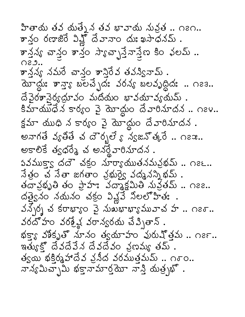హితాయ తవ యత్నేన తవ భావాయ నువ్రత .. ౧౭౧.. కాన్ల రణాజిరే విష్ణో దేవానాం దుఃఖసాధనమ్ . కాన్లని చాన్ల తాన్ల స్యాచ్స్తాన్తో బా కిం ఛలమ్ ..  $O29.$ శాన్లైన్య నమరే చాన్లం శాన్లిరేవ తవస్యినామ్ . మోద్దు: శాన్యా బలచ్చేద: వరన్య బలవృద్ధిద: .. ౧౭౩.. దే వైరశానైర్యద్ధూవం మదియం భావయావ్యయమ్. కిమాయుధేన కార్యం వై మోద్దుం దేవారినూదన .. ౧౭౪.. క్షమా యుధి న కార్యం పై మోద్దుం దేవారినూదన . అనాగతే వ్యతితే చ దౌరృలే \$ న్యజనోత్కరే .. ౧౭౫.. అకాలికే త్వధరేశ్ చ అనర్థేవారినూదన.  $\vec{a}$  3  $\vec{b}$  3  $\vec{c}$  and  $\vec{c}$  and  $\vec{c}$  and  $\vec{c}$  and  $\vec{c}$  and  $\vec{c}$  and  $\vec{c}$  and  $\vec{c}$ తదావ్రభృతి తం ప్రాహః వద్మాక్షమితి నువ్రతమ్ .. ౧౭౭.. దత్త్వైనం నదునం చక్రం వివ్లవే నిలలోహిత:.  $\Delta \lambda$  $\Delta$ ) ဟုတ် အော $\lambda$ ဝ ဦးကိုသားအားတော့ ကားသားသည် အားကား လောက် వరదోహం వరశ్రేష్ణ వరాన్వరయ చేప్పితాన్ . భక్ళ వశికృతో నూనం త్వయాహం వురుష్తమ .. ౧౭౯..  $\overline{\mathfrak{s}}$ త్యుకో దేవదేవేన దేవదేవం వ్రణమ్య తమ్ . త్వయి భక్తిర్మహాదేవ వ్రసీద వరముత్తమమ్ .. ౧్ం.. నాన్యమిచ్చామి భక్తామార్తమో నాన్తి యత్ర్యహో .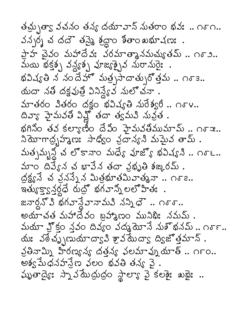తచ్చుత్వా వచనం తన్య దయావాన్ నుతరాం భవః .. ౧్౧.. వన్నర్న చ దదౌ తపై శ్రద్ధాం శీతాం ఖభూషణః . పాహ చెవం మహాదేవ: వరమాత్మానమచ్యుతమ్.. ౧ఠ 2.. మయి భక్తక్స వన్థ్యక్స వూజ్యక్సైవ నురానురైః . భవిష్యతి న నందేహొ మత్రసాదాత్సు తోత్తమ .. ౧ఠె 3.. యదా నతి దక్షవుత్రి వినిన్వేవ నులో చనా.  $5 - 30$  3800  $\frac{1}{20}$  32453  $\frac{1}{20}$  358. దివ్యా హైమవతి విష్ణో తదా త్వమవి నువ్రత . భగినిం తన కల్యాణిం దేవిం హైమనతిముమామ్.. ౧ఠాజ..  $\lambda$ మోగాదృహ్మణ: సాధ్యం వ్రదాన్య మమైవ తామ్ . మత్నమృన్ధ చ లోకానాం మధ్య వూజ్యో భవిష్యని .. ౧ూ౬.. మాం దివ్యేన చ భావేన తదా వ్రభృతి శఙ్కరమ్ . ద్రక్ష్య వే వ్రవేష్ణ మిత్రభూతమివాత్మనా .. ౧ఠా .. ఇత్యుక్తాకైన్లర్ల దుద్రో భగవాన్నీ లలోహితః . జనార్దుో వి భగవాన్డేవానామవి నన్నిధె .. ౧్ూ.. అయాచత మహాదేవం బ్రహ్మణం మునిథి: నమమ్ . మయా హ్హిం శ్రవం దివ్యం వద్మ యోహన నుఖ్ళనమ్.. ౧ూ౯.. యః వఠేచ్బుణుయాద్వా హైవ మేద్యా ద్విజోత్తమాన్ . వ్రతినామ్ని హీరణ్యన్య దత్తన్య వలమావ్నుయాత్ .. ౧౯౦.. అశ్వ మేధనహన్లేణ ఛలం భవతి తన్య వై. స్ముతాద్యే: స్నా వమే ద్రుద్ధం స్థాల్యా వై కలకై: బబై: ..